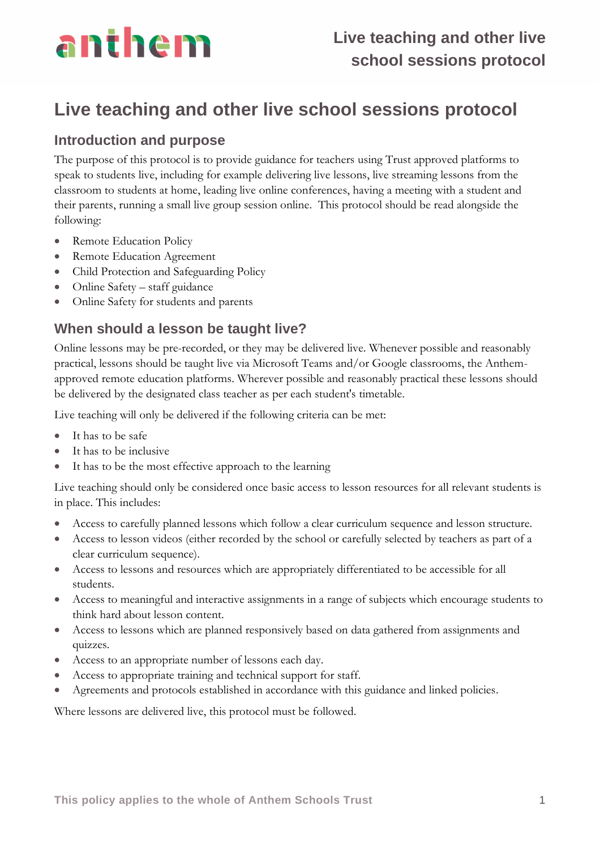

## **Live teaching and other live school sessions protocol**

### **Introduction and purpose**

The purpose of this protocol is to provide guidance for teachers using Trust approved platforms to speak to students live, including for example delivering live lessons, live streaming lessons from the classroom to students at home, leading live online conferences, having a meeting with a student and their parents, running a small live group session online. This protocol should be read alongside the following:

- Remote Education Policy
- Remote Education Agreement
- Child Protection and Safeguarding Policy
- Online Safety staff guidance
- Online Safety for students and parents

### **When should a lesson be taught live?**

Online lessons may be pre-recorded, or they may be delivered live. Whenever possible and reasonably practical, lessons should be taught live via Microsoft Teams and/or Google classrooms, the Anthemapproved remote education platforms. Wherever possible and reasonably practical these lessons should be delivered by the designated class teacher as per each student's timetable.

Live teaching will only be delivered if the following criteria can be met:

- It has to be safe
- It has to be inclusive
- It has to be the most effective approach to the learning

Live teaching should only be considered once basic access to lesson resources for all relevant students is in place. This includes:

- Access to carefully planned lessons which follow a clear curriculum sequence and lesson structure.
- Access to lesson videos (either recorded by the school or carefully selected by teachers as part of a clear curriculum sequence).
- Access to lessons and resources which are appropriately differentiated to be accessible for all students.
- Access to meaningful and interactive assignments in a range of subjects which encourage students to think hard about lesson content.
- Access to lessons which are planned responsively based on data gathered from assignments and quizzes.
- Access to an appropriate number of lessons each day.
- Access to appropriate training and technical support for staff.
- Agreements and protocols established in accordance with this guidance and linked policies.

Where lessons are delivered live, this protocol must be followed.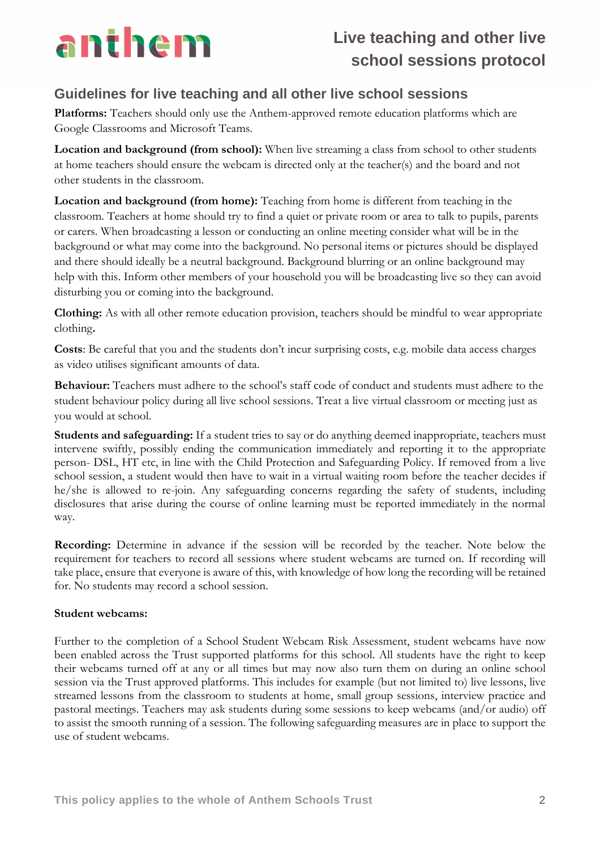

#### **Guidelines for live teaching and all other live school sessions**

**Platforms:** Teachers should only use the Anthem-approved remote education platforms which are Google Classrooms and Microsoft Teams.

**Location and background (from school):** When live streaming a class from school to other students at home teachers should ensure the webcam is directed only at the teacher(s) and the board and not other students in the classroom.

**Location and background (from home):** Teaching from home is different from teaching in the classroom. Teachers at home should try to find a quiet or private room or area to talk to pupils, parents or carers. When broadcasting a lesson or conducting an online meeting consider what will be in the background or what may come into the background. No personal items or pictures should be displayed and there should ideally be a neutral background. Background blurring or an online background may help with this. Inform other members of your household you will be broadcasting live so they can avoid disturbing you or coming into the background.

**Clothing:** As with all other remote education provision, teachers should be mindful to wear appropriate clothing**.**

**Costs**: Be careful that you and the students don't incur surprising costs, e.g. mobile data access charges as video utilises significant amounts of data.

**Behaviour:** Teachers must adhere to the school's staff code of conduct and students must adhere to the student behaviour policy during all live school sessions. Treat a live virtual classroom or meeting just as you would at school.

**Students and safeguarding:** If a student tries to say or do anything deemed inappropriate, teachers must intervene swiftly, possibly ending the communication immediately and reporting it to the appropriate person- DSL, HT etc, in line with the Child Protection and Safeguarding Policy. If removed from a live school session, a student would then have to wait in a virtual waiting room before the teacher decides if he/she is allowed to re-join. Any safeguarding concerns regarding the safety of students, including disclosures that arise during the course of online learning must be reported immediately in the normal way.

**Recording:** Determine in advance if the session will be recorded by the teacher. Note below the requirement for teachers to record all sessions where student webcams are turned on. If recording will take place, ensure that everyone is aware of this, with knowledge of how long the recording will be retained for. No students may record a school session.

#### **Student webcams:**

Further to the completion of a School Student Webcam Risk Assessment, student webcams have now been enabled across the Trust supported platforms for this school. All students have the right to keep their webcams turned off at any or all times but may now also turn them on during an online school session via the Trust approved platforms. This includes for example (but not limited to) live lessons, live streamed lessons from the classroom to students at home, small group sessions, interview practice and pastoral meetings. Teachers may ask students during some sessions to keep webcams (and/or audio) off to assist the smooth running of a session. The following safeguarding measures are in place to support the use of student webcams.